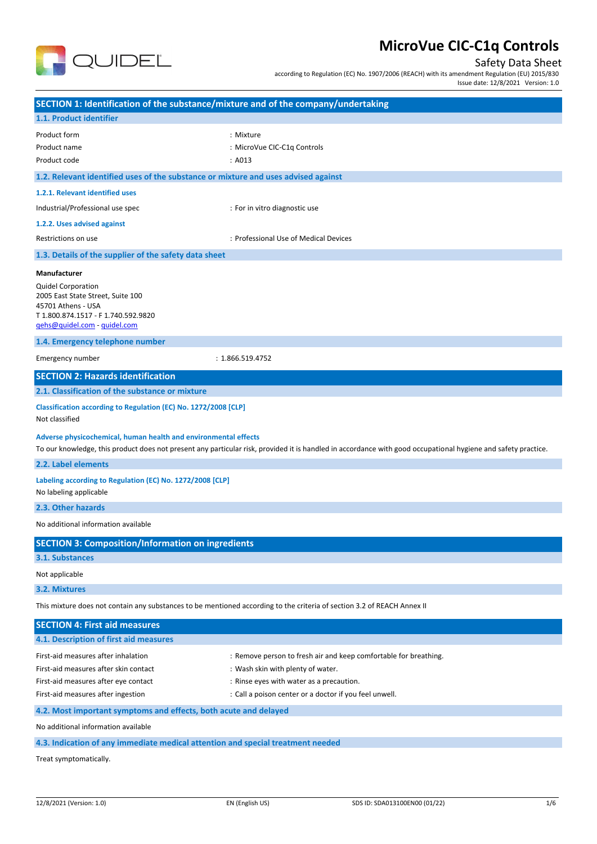

## Safety Data Sheet

according to Regulation (EC) No. 1907/2006 (REACH) with its amendment Regulation (EU) 2015/830 Issue date: 12/8/2021 Version: 1.0

| SECTION 1: Identification of the substance/mixture and of the company/undertaking                                                                           |                                                                                                                                                               |  |
|-------------------------------------------------------------------------------------------------------------------------------------------------------------|---------------------------------------------------------------------------------------------------------------------------------------------------------------|--|
| 1.1. Product identifier                                                                                                                                     |                                                                                                                                                               |  |
| Product form<br>Product name<br>Product code                                                                                                                | : Mixture<br>: MicroVue CIC-C1q Controls<br>: A013                                                                                                            |  |
| 1.2. Relevant identified uses of the substance or mixture and uses advised against                                                                          |                                                                                                                                                               |  |
| 1.2.1. Relevant identified uses                                                                                                                             |                                                                                                                                                               |  |
| Industrial/Professional use spec                                                                                                                            | : For in vitro diagnostic use                                                                                                                                 |  |
| 1.2.2. Uses advised against                                                                                                                                 |                                                                                                                                                               |  |
| Restrictions on use                                                                                                                                         | : Professional Use of Medical Devices                                                                                                                         |  |
| 1.3. Details of the supplier of the safety data sheet                                                                                                       |                                                                                                                                                               |  |
| Manufacturer                                                                                                                                                |                                                                                                                                                               |  |
| <b>Quidel Corporation</b><br>2005 East State Street, Suite 100<br>45701 Athens - USA<br>T 1.800.874.1517 - F 1.740.592.9820<br>gehs@quidel.com - guidel.com |                                                                                                                                                               |  |
| 1.4. Emergency telephone number                                                                                                                             |                                                                                                                                                               |  |
| Emergency number                                                                                                                                            | : 1.866.519.4752                                                                                                                                              |  |
| <b>SECTION 2: Hazards identification</b>                                                                                                                    |                                                                                                                                                               |  |
| 2.1. Classification of the substance or mixture                                                                                                             |                                                                                                                                                               |  |
| Classification according to Regulation (EC) No. 1272/2008 [CLP]<br>Not classified                                                                           |                                                                                                                                                               |  |
| Adverse physicochemical, human health and environmental effects                                                                                             | To our knowledge, this product does not present any particular risk, provided it is handled in accordance with good occupational hygiene and safety practice. |  |
| 2.2. Label elements                                                                                                                                         |                                                                                                                                                               |  |
| Labeling according to Regulation (EC) No. 1272/2008 [CLP]<br>No labeling applicable                                                                         |                                                                                                                                                               |  |
| 2.3. Other hazards                                                                                                                                          |                                                                                                                                                               |  |
| No additional information available                                                                                                                         |                                                                                                                                                               |  |
| <b>SECTION 3: Composition/Information on ingredients</b>                                                                                                    |                                                                                                                                                               |  |
| <b>3.1. Substances</b>                                                                                                                                      |                                                                                                                                                               |  |
| Not applicable                                                                                                                                              |                                                                                                                                                               |  |
| 3.2. Mixtures                                                                                                                                               |                                                                                                                                                               |  |
| This mixture does not contain any substances to be mentioned according to the criteria of section 3.2 of REACH Annex II                                     |                                                                                                                                                               |  |
| <b>SECTION 4: First aid measures</b>                                                                                                                        |                                                                                                                                                               |  |
| 4.1. Description of first aid measures                                                                                                                      |                                                                                                                                                               |  |
| First-aid measures after inhalation                                                                                                                         | : Remove person to fresh air and keep comfortable for breathing.                                                                                              |  |
| First-aid measures after skin contact                                                                                                                       | : Wash skin with plenty of water.                                                                                                                             |  |
| First-aid measures after eye contact                                                                                                                        | : Rinse eyes with water as a precaution.                                                                                                                      |  |
| First-aid measures after ingestion                                                                                                                          | : Call a poison center or a doctor if you feel unwell.                                                                                                        |  |
| 4.2. Most important symptoms and effects, both acute and delayed                                                                                            |                                                                                                                                                               |  |
| No additional information available                                                                                                                         |                                                                                                                                                               |  |
| 4.3. Indication of any immediate medical attention and special treatment needed                                                                             |                                                                                                                                                               |  |
| Treat symptomatically.                                                                                                                                      |                                                                                                                                                               |  |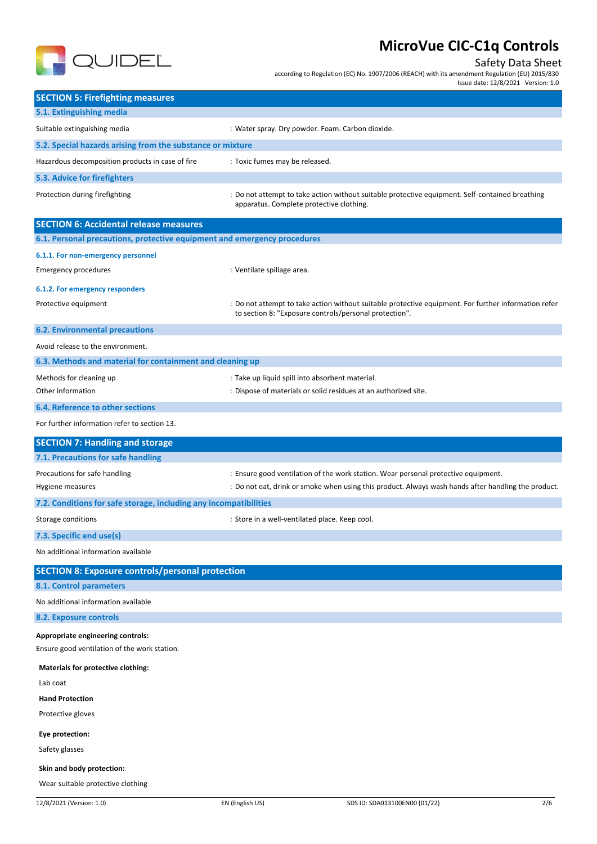

## Safety Data Sheet

according to Regulation (EC) No. 1907/2006 (REACH) with its amendment Regulation (EU) 2015/830

Issue date: 12/8/2021 Version: 1.0

| 5.1. Extinguishing media<br>Suitable extinguishing media<br>: Water spray. Dry powder. Foam. Carbon dioxide.<br>5.2. Special hazards arising from the substance or mixture<br>Hazardous decomposition products in case of fire<br>: Toxic fumes may be released.<br>5.3. Advice for firefighters<br>Protection during firefighting<br>: Do not attempt to take action without suitable protective equipment. Self-contained breathing<br>apparatus. Complete protective clothing.<br><b>SECTION 6: Accidental release measures</b><br>6.1. Personal precautions, protective equipment and emergency procedures<br>6.1.1. For non-emergency personnel<br><b>Emergency procedures</b><br>: Ventilate spillage area.<br>6.1.2. For emergency responders<br>Protective equipment<br>: Do not attempt to take action without suitable protective equipment. For further information refer<br>to section 8: "Exposure controls/personal protection".<br><b>6.2. Environmental precautions</b><br>Avoid release to the environment.<br>6.3. Methods and material for containment and cleaning up<br>Methods for cleaning up<br>: Take up liquid spill into absorbent material.<br>Other information<br>: Dispose of materials or solid residues at an authorized site.<br><b>6.4. Reference to other sections</b><br>For further information refer to section 13.<br><b>SECTION 7: Handling and storage</b><br>7.1. Precautions for safe handling<br>Precautions for safe handling<br>: Ensure good ventilation of the work station. Wear personal protective equipment.<br>: Do not eat, drink or smoke when using this product. Always wash hands after handling the product.<br>Hygiene measures<br>7.2. Conditions for safe storage, including any incompatibilities<br>Storage conditions<br>: Store in a well-ventilated place. Keep cool.<br>7.3. Specific end use(s)<br>No additional information available<br><b>SECTION 8: Exposure controls/personal protection</b><br>8.1. Control parameters<br>No additional information available<br>8.2. Exposure controls<br>Appropriate engineering controls:<br>Ensure good ventilation of the work station.<br><b>Materials for protective clothing:</b><br>Lab coat<br><b>Hand Protection</b><br>Protective gloves<br>Eye protection:<br>Safety glasses |                                         | $1$ ssue date. $12/8/2021$ version. $1.0$ |
|-------------------------------------------------------------------------------------------------------------------------------------------------------------------------------------------------------------------------------------------------------------------------------------------------------------------------------------------------------------------------------------------------------------------------------------------------------------------------------------------------------------------------------------------------------------------------------------------------------------------------------------------------------------------------------------------------------------------------------------------------------------------------------------------------------------------------------------------------------------------------------------------------------------------------------------------------------------------------------------------------------------------------------------------------------------------------------------------------------------------------------------------------------------------------------------------------------------------------------------------------------------------------------------------------------------------------------------------------------------------------------------------------------------------------------------------------------------------------------------------------------------------------------------------------------------------------------------------------------------------------------------------------------------------------------------------------------------------------------------------------------------------------------------------------------------------------------------------------------------------------------------------------------------------------------------------------------------------------------------------------------------------------------------------------------------------------------------------------------------------------------------------------------------------------------------------------------------------------------------------------------------------------------------------------------|-----------------------------------------|-------------------------------------------|
|                                                                                                                                                                                                                                                                                                                                                                                                                                                                                                                                                                                                                                                                                                                                                                                                                                                                                                                                                                                                                                                                                                                                                                                                                                                                                                                                                                                                                                                                                                                                                                                                                                                                                                                                                                                                                                                                                                                                                                                                                                                                                                                                                                                                                                                                                                       | <b>SECTION 5: Firefighting measures</b> |                                           |
|                                                                                                                                                                                                                                                                                                                                                                                                                                                                                                                                                                                                                                                                                                                                                                                                                                                                                                                                                                                                                                                                                                                                                                                                                                                                                                                                                                                                                                                                                                                                                                                                                                                                                                                                                                                                                                                                                                                                                                                                                                                                                                                                                                                                                                                                                                       |                                         |                                           |
|                                                                                                                                                                                                                                                                                                                                                                                                                                                                                                                                                                                                                                                                                                                                                                                                                                                                                                                                                                                                                                                                                                                                                                                                                                                                                                                                                                                                                                                                                                                                                                                                                                                                                                                                                                                                                                                                                                                                                                                                                                                                                                                                                                                                                                                                                                       |                                         |                                           |
|                                                                                                                                                                                                                                                                                                                                                                                                                                                                                                                                                                                                                                                                                                                                                                                                                                                                                                                                                                                                                                                                                                                                                                                                                                                                                                                                                                                                                                                                                                                                                                                                                                                                                                                                                                                                                                                                                                                                                                                                                                                                                                                                                                                                                                                                                                       |                                         |                                           |
|                                                                                                                                                                                                                                                                                                                                                                                                                                                                                                                                                                                                                                                                                                                                                                                                                                                                                                                                                                                                                                                                                                                                                                                                                                                                                                                                                                                                                                                                                                                                                                                                                                                                                                                                                                                                                                                                                                                                                                                                                                                                                                                                                                                                                                                                                                       |                                         |                                           |
|                                                                                                                                                                                                                                                                                                                                                                                                                                                                                                                                                                                                                                                                                                                                                                                                                                                                                                                                                                                                                                                                                                                                                                                                                                                                                                                                                                                                                                                                                                                                                                                                                                                                                                                                                                                                                                                                                                                                                                                                                                                                                                                                                                                                                                                                                                       |                                         |                                           |
|                                                                                                                                                                                                                                                                                                                                                                                                                                                                                                                                                                                                                                                                                                                                                                                                                                                                                                                                                                                                                                                                                                                                                                                                                                                                                                                                                                                                                                                                                                                                                                                                                                                                                                                                                                                                                                                                                                                                                                                                                                                                                                                                                                                                                                                                                                       |                                         |                                           |
|                                                                                                                                                                                                                                                                                                                                                                                                                                                                                                                                                                                                                                                                                                                                                                                                                                                                                                                                                                                                                                                                                                                                                                                                                                                                                                                                                                                                                                                                                                                                                                                                                                                                                                                                                                                                                                                                                                                                                                                                                                                                                                                                                                                                                                                                                                       |                                         |                                           |
|                                                                                                                                                                                                                                                                                                                                                                                                                                                                                                                                                                                                                                                                                                                                                                                                                                                                                                                                                                                                                                                                                                                                                                                                                                                                                                                                                                                                                                                                                                                                                                                                                                                                                                                                                                                                                                                                                                                                                                                                                                                                                                                                                                                                                                                                                                       |                                         |                                           |
|                                                                                                                                                                                                                                                                                                                                                                                                                                                                                                                                                                                                                                                                                                                                                                                                                                                                                                                                                                                                                                                                                                                                                                                                                                                                                                                                                                                                                                                                                                                                                                                                                                                                                                                                                                                                                                                                                                                                                                                                                                                                                                                                                                                                                                                                                                       |                                         |                                           |
|                                                                                                                                                                                                                                                                                                                                                                                                                                                                                                                                                                                                                                                                                                                                                                                                                                                                                                                                                                                                                                                                                                                                                                                                                                                                                                                                                                                                                                                                                                                                                                                                                                                                                                                                                                                                                                                                                                                                                                                                                                                                                                                                                                                                                                                                                                       |                                         |                                           |
|                                                                                                                                                                                                                                                                                                                                                                                                                                                                                                                                                                                                                                                                                                                                                                                                                                                                                                                                                                                                                                                                                                                                                                                                                                                                                                                                                                                                                                                                                                                                                                                                                                                                                                                                                                                                                                                                                                                                                                                                                                                                                                                                                                                                                                                                                                       |                                         |                                           |
|                                                                                                                                                                                                                                                                                                                                                                                                                                                                                                                                                                                                                                                                                                                                                                                                                                                                                                                                                                                                                                                                                                                                                                                                                                                                                                                                                                                                                                                                                                                                                                                                                                                                                                                                                                                                                                                                                                                                                                                                                                                                                                                                                                                                                                                                                                       |                                         |                                           |
|                                                                                                                                                                                                                                                                                                                                                                                                                                                                                                                                                                                                                                                                                                                                                                                                                                                                                                                                                                                                                                                                                                                                                                                                                                                                                                                                                                                                                                                                                                                                                                                                                                                                                                                                                                                                                                                                                                                                                                                                                                                                                                                                                                                                                                                                                                       |                                         |                                           |
|                                                                                                                                                                                                                                                                                                                                                                                                                                                                                                                                                                                                                                                                                                                                                                                                                                                                                                                                                                                                                                                                                                                                                                                                                                                                                                                                                                                                                                                                                                                                                                                                                                                                                                                                                                                                                                                                                                                                                                                                                                                                                                                                                                                                                                                                                                       |                                         |                                           |
|                                                                                                                                                                                                                                                                                                                                                                                                                                                                                                                                                                                                                                                                                                                                                                                                                                                                                                                                                                                                                                                                                                                                                                                                                                                                                                                                                                                                                                                                                                                                                                                                                                                                                                                                                                                                                                                                                                                                                                                                                                                                                                                                                                                                                                                                                                       |                                         |                                           |
|                                                                                                                                                                                                                                                                                                                                                                                                                                                                                                                                                                                                                                                                                                                                                                                                                                                                                                                                                                                                                                                                                                                                                                                                                                                                                                                                                                                                                                                                                                                                                                                                                                                                                                                                                                                                                                                                                                                                                                                                                                                                                                                                                                                                                                                                                                       |                                         |                                           |
|                                                                                                                                                                                                                                                                                                                                                                                                                                                                                                                                                                                                                                                                                                                                                                                                                                                                                                                                                                                                                                                                                                                                                                                                                                                                                                                                                                                                                                                                                                                                                                                                                                                                                                                                                                                                                                                                                                                                                                                                                                                                                                                                                                                                                                                                                                       |                                         |                                           |
|                                                                                                                                                                                                                                                                                                                                                                                                                                                                                                                                                                                                                                                                                                                                                                                                                                                                                                                                                                                                                                                                                                                                                                                                                                                                                                                                                                                                                                                                                                                                                                                                                                                                                                                                                                                                                                                                                                                                                                                                                                                                                                                                                                                                                                                                                                       |                                         |                                           |
|                                                                                                                                                                                                                                                                                                                                                                                                                                                                                                                                                                                                                                                                                                                                                                                                                                                                                                                                                                                                                                                                                                                                                                                                                                                                                                                                                                                                                                                                                                                                                                                                                                                                                                                                                                                                                                                                                                                                                                                                                                                                                                                                                                                                                                                                                                       |                                         |                                           |
|                                                                                                                                                                                                                                                                                                                                                                                                                                                                                                                                                                                                                                                                                                                                                                                                                                                                                                                                                                                                                                                                                                                                                                                                                                                                                                                                                                                                                                                                                                                                                                                                                                                                                                                                                                                                                                                                                                                                                                                                                                                                                                                                                                                                                                                                                                       |                                         |                                           |
|                                                                                                                                                                                                                                                                                                                                                                                                                                                                                                                                                                                                                                                                                                                                                                                                                                                                                                                                                                                                                                                                                                                                                                                                                                                                                                                                                                                                                                                                                                                                                                                                                                                                                                                                                                                                                                                                                                                                                                                                                                                                                                                                                                                                                                                                                                       |                                         |                                           |
|                                                                                                                                                                                                                                                                                                                                                                                                                                                                                                                                                                                                                                                                                                                                                                                                                                                                                                                                                                                                                                                                                                                                                                                                                                                                                                                                                                                                                                                                                                                                                                                                                                                                                                                                                                                                                                                                                                                                                                                                                                                                                                                                                                                                                                                                                                       |                                         |                                           |
|                                                                                                                                                                                                                                                                                                                                                                                                                                                                                                                                                                                                                                                                                                                                                                                                                                                                                                                                                                                                                                                                                                                                                                                                                                                                                                                                                                                                                                                                                                                                                                                                                                                                                                                                                                                                                                                                                                                                                                                                                                                                                                                                                                                                                                                                                                       |                                         |                                           |
|                                                                                                                                                                                                                                                                                                                                                                                                                                                                                                                                                                                                                                                                                                                                                                                                                                                                                                                                                                                                                                                                                                                                                                                                                                                                                                                                                                                                                                                                                                                                                                                                                                                                                                                                                                                                                                                                                                                                                                                                                                                                                                                                                                                                                                                                                                       |                                         |                                           |
|                                                                                                                                                                                                                                                                                                                                                                                                                                                                                                                                                                                                                                                                                                                                                                                                                                                                                                                                                                                                                                                                                                                                                                                                                                                                                                                                                                                                                                                                                                                                                                                                                                                                                                                                                                                                                                                                                                                                                                                                                                                                                                                                                                                                                                                                                                       |                                         |                                           |
|                                                                                                                                                                                                                                                                                                                                                                                                                                                                                                                                                                                                                                                                                                                                                                                                                                                                                                                                                                                                                                                                                                                                                                                                                                                                                                                                                                                                                                                                                                                                                                                                                                                                                                                                                                                                                                                                                                                                                                                                                                                                                                                                                                                                                                                                                                       |                                         |                                           |
|                                                                                                                                                                                                                                                                                                                                                                                                                                                                                                                                                                                                                                                                                                                                                                                                                                                                                                                                                                                                                                                                                                                                                                                                                                                                                                                                                                                                                                                                                                                                                                                                                                                                                                                                                                                                                                                                                                                                                                                                                                                                                                                                                                                                                                                                                                       |                                         |                                           |
|                                                                                                                                                                                                                                                                                                                                                                                                                                                                                                                                                                                                                                                                                                                                                                                                                                                                                                                                                                                                                                                                                                                                                                                                                                                                                                                                                                                                                                                                                                                                                                                                                                                                                                                                                                                                                                                                                                                                                                                                                                                                                                                                                                                                                                                                                                       |                                         |                                           |
|                                                                                                                                                                                                                                                                                                                                                                                                                                                                                                                                                                                                                                                                                                                                                                                                                                                                                                                                                                                                                                                                                                                                                                                                                                                                                                                                                                                                                                                                                                                                                                                                                                                                                                                                                                                                                                                                                                                                                                                                                                                                                                                                                                                                                                                                                                       |                                         |                                           |
|                                                                                                                                                                                                                                                                                                                                                                                                                                                                                                                                                                                                                                                                                                                                                                                                                                                                                                                                                                                                                                                                                                                                                                                                                                                                                                                                                                                                                                                                                                                                                                                                                                                                                                                                                                                                                                                                                                                                                                                                                                                                                                                                                                                                                                                                                                       |                                         |                                           |
|                                                                                                                                                                                                                                                                                                                                                                                                                                                                                                                                                                                                                                                                                                                                                                                                                                                                                                                                                                                                                                                                                                                                                                                                                                                                                                                                                                                                                                                                                                                                                                                                                                                                                                                                                                                                                                                                                                                                                                                                                                                                                                                                                                                                                                                                                                       |                                         |                                           |
|                                                                                                                                                                                                                                                                                                                                                                                                                                                                                                                                                                                                                                                                                                                                                                                                                                                                                                                                                                                                                                                                                                                                                                                                                                                                                                                                                                                                                                                                                                                                                                                                                                                                                                                                                                                                                                                                                                                                                                                                                                                                                                                                                                                                                                                                                                       |                                         |                                           |
|                                                                                                                                                                                                                                                                                                                                                                                                                                                                                                                                                                                                                                                                                                                                                                                                                                                                                                                                                                                                                                                                                                                                                                                                                                                                                                                                                                                                                                                                                                                                                                                                                                                                                                                                                                                                                                                                                                                                                                                                                                                                                                                                                                                                                                                                                                       |                                         |                                           |
|                                                                                                                                                                                                                                                                                                                                                                                                                                                                                                                                                                                                                                                                                                                                                                                                                                                                                                                                                                                                                                                                                                                                                                                                                                                                                                                                                                                                                                                                                                                                                                                                                                                                                                                                                                                                                                                                                                                                                                                                                                                                                                                                                                                                                                                                                                       |                                         |                                           |
|                                                                                                                                                                                                                                                                                                                                                                                                                                                                                                                                                                                                                                                                                                                                                                                                                                                                                                                                                                                                                                                                                                                                                                                                                                                                                                                                                                                                                                                                                                                                                                                                                                                                                                                                                                                                                                                                                                                                                                                                                                                                                                                                                                                                                                                                                                       |                                         |                                           |
|                                                                                                                                                                                                                                                                                                                                                                                                                                                                                                                                                                                                                                                                                                                                                                                                                                                                                                                                                                                                                                                                                                                                                                                                                                                                                                                                                                                                                                                                                                                                                                                                                                                                                                                                                                                                                                                                                                                                                                                                                                                                                                                                                                                                                                                                                                       |                                         |                                           |
|                                                                                                                                                                                                                                                                                                                                                                                                                                                                                                                                                                                                                                                                                                                                                                                                                                                                                                                                                                                                                                                                                                                                                                                                                                                                                                                                                                                                                                                                                                                                                                                                                                                                                                                                                                                                                                                                                                                                                                                                                                                                                                                                                                                                                                                                                                       |                                         |                                           |
|                                                                                                                                                                                                                                                                                                                                                                                                                                                                                                                                                                                                                                                                                                                                                                                                                                                                                                                                                                                                                                                                                                                                                                                                                                                                                                                                                                                                                                                                                                                                                                                                                                                                                                                                                                                                                                                                                                                                                                                                                                                                                                                                                                                                                                                                                                       |                                         |                                           |
|                                                                                                                                                                                                                                                                                                                                                                                                                                                                                                                                                                                                                                                                                                                                                                                                                                                                                                                                                                                                                                                                                                                                                                                                                                                                                                                                                                                                                                                                                                                                                                                                                                                                                                                                                                                                                                                                                                                                                                                                                                                                                                                                                                                                                                                                                                       |                                         |                                           |
| Skin and body protection:                                                                                                                                                                                                                                                                                                                                                                                                                                                                                                                                                                                                                                                                                                                                                                                                                                                                                                                                                                                                                                                                                                                                                                                                                                                                                                                                                                                                                                                                                                                                                                                                                                                                                                                                                                                                                                                                                                                                                                                                                                                                                                                                                                                                                                                                             |                                         |                                           |

Wear suitable protective clothing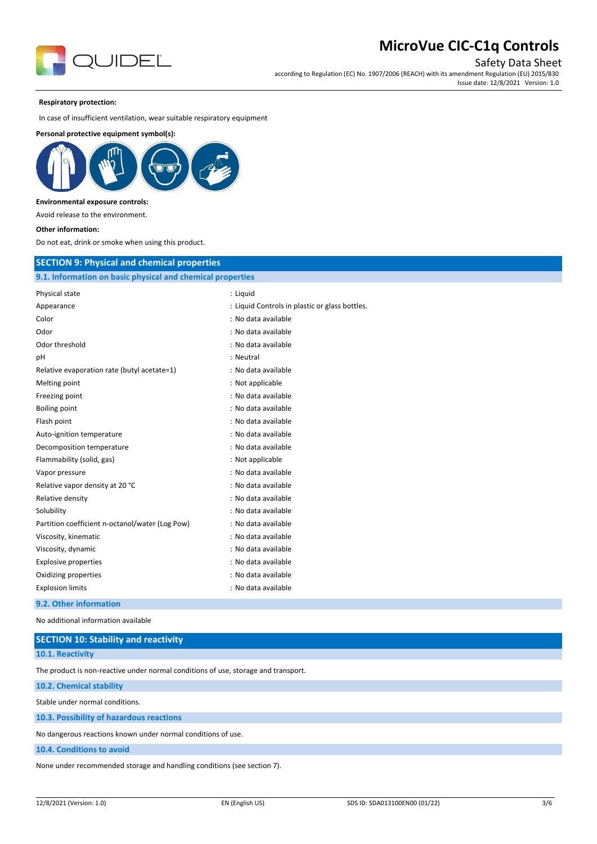

Safety Data Sheet

according to Regulation (EC) No. 1907/2006 (REACH) with its amendment Regulation (EU) 2015/830 Issue date: 12/8/2021 Version: 1.0

#### **Respiratory protection:**

In case of insufficient ventilation, wear suitable respiratory equipment

#### **Personal protective equipment symbol(s):**



#### **Environmental exposure controls:**

Avoid release to the environment.

**Other information:**

Do not eat, drink or smoke when using this product.

### **SECTION 9: Physical and chemical properties**

| 9.1. Information on basic physical and chemical properties |                                                |  |
|------------------------------------------------------------|------------------------------------------------|--|
| Physical state                                             | : Liquid                                       |  |
| Appearance                                                 | : Liquid Controls in plastic or glass bottles. |  |
| Color                                                      | : No data available                            |  |
| Odor                                                       | : No data available                            |  |
| Odor threshold                                             | : No data available                            |  |
| pH                                                         | : Neutral                                      |  |
| Relative evaporation rate (butyl acetate=1)                | : No data available                            |  |
| Melting point                                              | : Not applicable                               |  |
| Freezing point                                             | : No data available                            |  |
| Boiling point                                              | : No data available                            |  |
| Flash point                                                | : No data available                            |  |
| Auto-ignition temperature                                  | : No data available                            |  |
| Decomposition temperature                                  | : No data available                            |  |
| Flammability (solid, gas)                                  | : Not applicable                               |  |
| Vapor pressure                                             | : No data available                            |  |
| Relative vapor density at 20 °C                            | : No data available                            |  |
| Relative density                                           | : No data available                            |  |
| Solubility                                                 | : No data available                            |  |
| Partition coefficient n-octanol/water (Log Pow)            | : No data available                            |  |
| Viscosity, kinematic                                       | : No data available                            |  |
| Viscosity, dynamic                                         | : No data available                            |  |
| <b>Explosive properties</b>                                | : No data available                            |  |
| Oxidizing properties                                       | : No data available                            |  |
| <b>Explosion limits</b>                                    | : No data available                            |  |
|                                                            |                                                |  |

#### **9.2. Other information**

No additional information available

| <b>SECTION 10: Stability and reactivity</b>                                        |  |  |
|------------------------------------------------------------------------------------|--|--|
| 10.1. Reactivity                                                                   |  |  |
| The product is non-reactive under normal conditions of use, storage and transport. |  |  |
| 10.2. Chemical stability                                                           |  |  |
| Stable under normal conditions.                                                    |  |  |
| 10.3. Possibility of hazardous reactions                                           |  |  |
| No dangerous reactions known under normal conditions of use.                       |  |  |
| 10.4. Conditions to avoid                                                          |  |  |
| None under recommended storage and handling conditions (see section 7).            |  |  |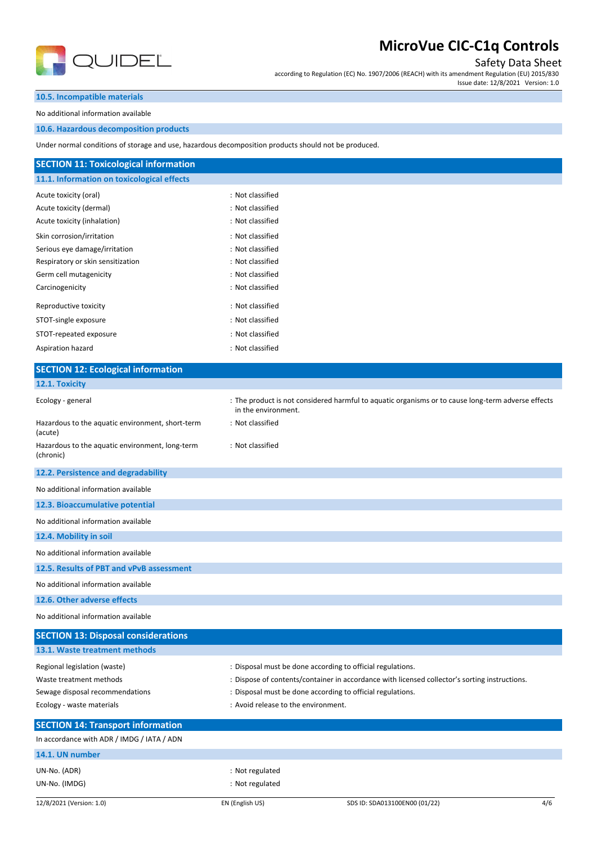

Safety Data Sheet

according to Regulation (EC) No. 1907/2006 (REACH) with its amendment Regulation (EU) 2015/830 Issue date: 12/8/2021 Version: 1.0

### **10.5. Incompatible materials**

No additional information available

### **10.6. Hazardous decomposition products**

Under normal conditions of storage and use, hazardous

| Under normal conditions of storage and use, nazardous decomposition products should not be produced. |                                                                                                    |
|------------------------------------------------------------------------------------------------------|----------------------------------------------------------------------------------------------------|
| <b>SECTION 11: Toxicological information</b>                                                         |                                                                                                    |
| 11.1. Information on toxicological effects                                                           |                                                                                                    |
| Acute toxicity (oral)                                                                                | : Not classified                                                                                   |
| Acute toxicity (dermal)                                                                              | : Not classified                                                                                   |
| Acute toxicity (inhalation)                                                                          | : Not classified                                                                                   |
| Skin corrosion/irritation                                                                            | : Not classified                                                                                   |
| Serious eye damage/irritation                                                                        | : Not classified                                                                                   |
| Respiratory or skin sensitization                                                                    | : Not classified                                                                                   |
| Germ cell mutagenicity                                                                               | : Not classified                                                                                   |
| Carcinogenicity                                                                                      | : Not classified                                                                                   |
| Reproductive toxicity                                                                                | : Not classified                                                                                   |
| STOT-single exposure                                                                                 | : Not classified                                                                                   |
| STOT-repeated exposure                                                                               | : Not classified                                                                                   |
| Aspiration hazard                                                                                    | : Not classified                                                                                   |
| <b>SECTION 12: Ecological information</b>                                                            |                                                                                                    |
| 12.1. Toxicity                                                                                       |                                                                                                    |
| Ecology - general                                                                                    | : The product is not considered harmful to aquatic organisms or to cause long-term adverse effects |
|                                                                                                      | in the environment.                                                                                |
| Hazardous to the aquatic environment, short-term<br>(acute)                                          | : Not classified                                                                                   |
| Hazardous to the aquatic environment, long-term<br>(chronic)                                         | : Not classified                                                                                   |
| 12.2. Persistence and degradability                                                                  |                                                                                                    |
| No additional information available                                                                  |                                                                                                    |
| 12.3. Bioaccumulative potential                                                                      |                                                                                                    |
| No additional information available                                                                  |                                                                                                    |
| 12.4. Mobility in soil                                                                               |                                                                                                    |
| No additional information available                                                                  |                                                                                                    |
| 12.5. Results of PBT and vPvB assessment                                                             |                                                                                                    |
| No additional information available                                                                  |                                                                                                    |
| 12.6. Other adverse effects                                                                          |                                                                                                    |
| No additional information available                                                                  |                                                                                                    |
| <b>SECTION 13: Disposal considerations</b>                                                           |                                                                                                    |
| 13.1. Waste treatment methods                                                                        |                                                                                                    |
| Regional legislation (waste)                                                                         | : Disposal must be done according to official regulations.                                         |
| Waste treatment methods                                                                              | : Dispose of contents/container in accordance with licensed collector's sorting instructions.      |
| Sewage disposal recommendations                                                                      | : Disposal must be done according to official regulations.                                         |
| Ecology - waste materials                                                                            | : Avoid release to the environment.                                                                |
| <b>SECTION 14: Transport information</b>                                                             |                                                                                                    |
| In accordance with ADR / IMDG / IATA / ADN                                                           |                                                                                                    |

# **14.1. UN number**

UN-No. (ADR) : Not regulated UN-No. (IMDG)  $\qquad \qquad$  : Not regulated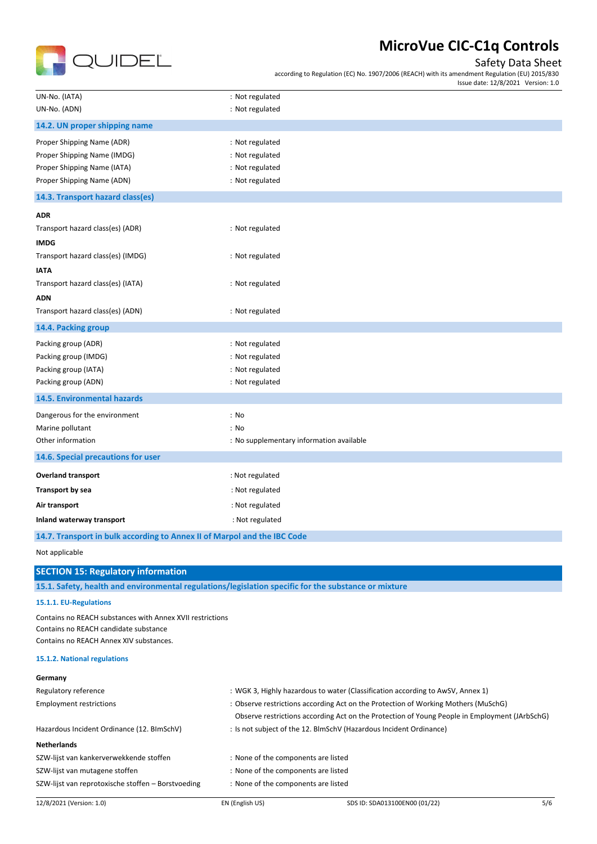

## Safety Data Sheet

according to Regulation (EC) No. 1907/2006 (REACH) with its amendment Regulation (EU) 2015/830 Issue date: 12/8/2021 Version: 1.0

| UN-No. (IATA)                                                                                        | : Not regulated                                                                               |
|------------------------------------------------------------------------------------------------------|-----------------------------------------------------------------------------------------------|
| UN-No. (ADN)                                                                                         | : Not regulated                                                                               |
| 14.2. UN proper shipping name                                                                        |                                                                                               |
| Proper Shipping Name (ADR)                                                                           | : Not regulated                                                                               |
| Proper Shipping Name (IMDG)                                                                          | : Not regulated                                                                               |
| Proper Shipping Name (IATA)                                                                          | : Not regulated                                                                               |
| Proper Shipping Name (ADN)                                                                           | : Not regulated                                                                               |
| 14.3. Transport hazard class(es)                                                                     |                                                                                               |
| <b>ADR</b>                                                                                           |                                                                                               |
| Transport hazard class(es) (ADR)                                                                     | : Not regulated                                                                               |
| <b>IMDG</b>                                                                                          |                                                                                               |
| Transport hazard class(es) (IMDG)                                                                    | : Not regulated                                                                               |
|                                                                                                      |                                                                                               |
| <b>IATA</b>                                                                                          |                                                                                               |
| Transport hazard class(es) (IATA)                                                                    | : Not regulated                                                                               |
| <b>ADN</b>                                                                                           |                                                                                               |
| Transport hazard class(es) (ADN)                                                                     | : Not regulated                                                                               |
| 14.4. Packing group                                                                                  |                                                                                               |
| Packing group (ADR)                                                                                  | : Not regulated                                                                               |
| Packing group (IMDG)                                                                                 | : Not regulated                                                                               |
| Packing group (IATA)                                                                                 | : Not regulated                                                                               |
| Packing group (ADN)                                                                                  | : Not regulated                                                                               |
| <b>14.5. Environmental hazards</b>                                                                   |                                                                                               |
| Dangerous for the environment                                                                        | : No                                                                                          |
| Marine pollutant                                                                                     | : No                                                                                          |
| Other information                                                                                    | : No supplementary information available                                                      |
| 14.6. Special precautions for user                                                                   |                                                                                               |
| <b>Overland transport</b>                                                                            | : Not regulated                                                                               |
| <b>Transport by sea</b>                                                                              | : Not regulated                                                                               |
| Air transport                                                                                        | : Not regulated                                                                               |
| Inland waterway transport                                                                            | : Not regulated                                                                               |
| 14.7. Transport in bulk according to Annex II of Marpol and the IBC Code                             |                                                                                               |
| Not applicable                                                                                       |                                                                                               |
| <b>SECTION 15: Regulatory information</b>                                                            |                                                                                               |
| 15.1. Safety, health and environmental regulations/legislation specific for the substance or mixture |                                                                                               |
| 15.1.1. EU-Regulations                                                                               |                                                                                               |
| Contains no REACH substances with Annex XVII restrictions                                            |                                                                                               |
| Contains no REACH candidate substance                                                                |                                                                                               |
| Contains no REACH Annex XIV substances.                                                              |                                                                                               |
| 15.1.2. National regulations                                                                         |                                                                                               |
| Germany                                                                                              |                                                                                               |
| Regulatory reference                                                                                 | : WGK 3, Highly hazardous to water (Classification according to AwSV, Annex 1)                |
| <b>Employment restrictions</b>                                                                       | : Observe restrictions according Act on the Protection of Working Mothers (MuSchG)            |
|                                                                                                      | Observe restrictions according Act on the Protection of Young People in Employment (JArbSchG) |
| Hazardous Incident Ordinance (12. BImSchV)                                                           | : Is not subject of the 12. BlmSchV (Hazardous Incident Ordinance)                            |
| <b>Netherlands</b>                                                                                   |                                                                                               |
| SZW-lijst van kankerverwekkende stoffen                                                              | : None of the components are listed                                                           |
| SZW-lijst van mutagene stoffen                                                                       | : None of the components are listed                                                           |
| SZW-lijst van reprotoxische stoffen - Borstvoeding                                                   | : None of the components are listed                                                           |